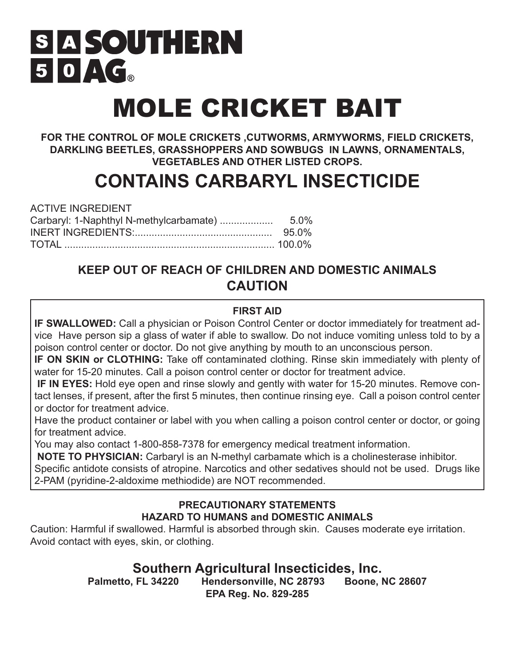# S A SOUTHERN  $50 \triangle C_{\circ}$

# MOLE CRICKET BAIT

**FOR THE CONTROL OF MOLE CRICKETS ,CUTWORMS, ARMYWORMS, FIELD CRICKETS, DARKLING BEETLES, GRASSHOPPERS AND SOWBUGS IN LAWNS, ORNAMENTALS, VEGETABLES AND OTHER LISTED CROPS.** 

# **CONTAINS CARBARYL INSECTICIDE**

| <b>ACTIVE INGREDIENT</b> |       |
|--------------------------|-------|
|                          |       |
|                          | 95.0% |
|                          |       |

# **KEEP OUT OF REACH OF CHILDREN AND DOMESTIC ANIMALS CAUTION**

# **FIRST AID**

**IF SWALLOWED:** Call a physician or Poison Control Center or doctor immediately for treatment advice Have person sip a glass of water if able to swallow. Do not induce vomiting unless told to by a poison control center or doctor. Do not give anything by mouth to an unconscious person.

**IF ON SKIN or CLOTHING:** Take off contaminated clothing. Rinse skin immediately with plenty of water for 15-20 minutes. Call a poison control center or doctor for treatment advice.

 **IF IN EYES:** Hold eye open and rinse slowly and gently with water for 15-20 minutes. Remove contact lenses, if present, after the first 5 minutes, then continue rinsing eye. Call a poison control center or doctor for treatment advice.

Have the product container or label with you when calling a poison control center or doctor, or going for treatment advice.

You may also contact 1-800-858-7378 for emergency medical treatment information.

 **NOTE TO PHYSICIAN:** Carbaryl is an N-methyl carbamate which is a cholinesterase inhibitor.

Specific antidote consists of atropine. Narcotics and other sedatives should not be used. Drugs like 2-PAM (pyridine-2-aldoxime methiodide) are NOT recommended.

# **PRECAUTIONARY STATEMENTS HAZARD TO HUMANS and DOMESTIC ANIMALS**

Caution: Harmful if swallowed. Harmful is absorbed through skin. Causes moderate eye irritation. Avoid contact with eyes, skin, or clothing.

**Southern Agricultural Insecticides, Inc.<br>Palmetto, FL 34220 Hendersonville, NC 28793 Boone, NC 28607 Hendersonville, NC 28793 EPA Reg. No. 829-285**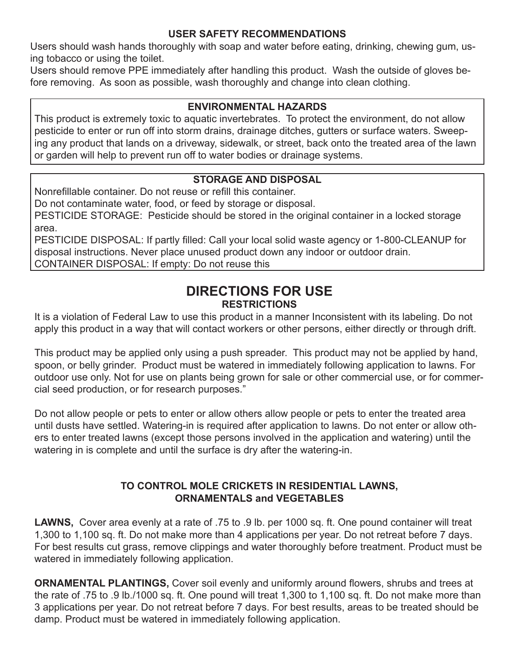### **USER SAFETY RECOMMENDATIONS**

Users should wash hands thoroughly with soap and water before eating, drinking, chewing gum, using tobacco or using the toilet.

Users should remove PPE immediately after handling this product. Wash the outside of gloves before removing. As soon as possible, wash thoroughly and change into clean clothing.

## **ENVIRONMENTAL HAZARDS**

This product is extremely toxic to aquatic invertebrates. To protect the environment, do not allow pesticide to enter or run off into storm drains, drainage ditches, gutters or surface waters. Sweeping any product that lands on a driveway, sidewalk, or street, back onto the treated area of the lawn or garden will help to prevent run off to water bodies or drainage systems.

# **STORAGE AND DISPOSAL**

Nonrefillable container. Do not reuse or refill this container.

Do not contaminate water, food, or feed by storage or disposal.

PESTICIDE STORAGE: Pesticide should be stored in the original container in a locked storage area.

PESTICIDE DISPOSAL: If partly filled: Call your local solid waste agency or 1-800-CLEANUP for disposal instructions. Never place unused product down any indoor or outdoor drain. CONTAINER DISPOSAL: If empty: Do not reuse this

# **DIRECTIONS FOR USE RESTRICTIONS**

It is a violation of Federal Law to use this product in a manner Inconsistent with its labeling. Do not apply this product in a way that will contact workers or other persons, either directly or through drift.

This product may be applied only using a push spreader. This product may not be applied by hand, spoon, or belly grinder. Product must be watered in immediately following application to lawns. For outdoor use only. Not for use on plants being grown for sale or other commercial use, or for commercial seed production, or for research purposes."

Do not allow people or pets to enter or allow others allow people or pets to enter the treated area until dusts have settled. Watering-in is required after application to lawns. Do not enter or allow others to enter treated lawns (except those persons involved in the application and watering) until the watering in is complete and until the surface is dry after the watering-in.

# **TO CONTROL MOLE CRICKETS IN RESIDENTIAL LAWNS, ORNAMENTALS and VEGETABLES**

**LAWNS,** Cover area evenly at a rate of .75 to .9 lb. per 1000 sq. ft. One pound container will treat 1,300 to 1,100 sq. ft. Do not make more than 4 applications per year. Do not retreat before 7 days. For best results cut grass, remove clippings and water thoroughly before treatment. Product must be watered in immediately following application.

**ORNAMENTAL PLANTINGS, Cover soil evenly and uniformly around flowers, shrubs and trees at** the rate of .75 to .9 lb./1000 sq. ft. One pound will treat 1,300 to 1,100 sq. ft. Do not make more than 3 applications per year. Do not retreat before 7 days. For best results, areas to be treated should be damp. Product must be watered in immediately following application.